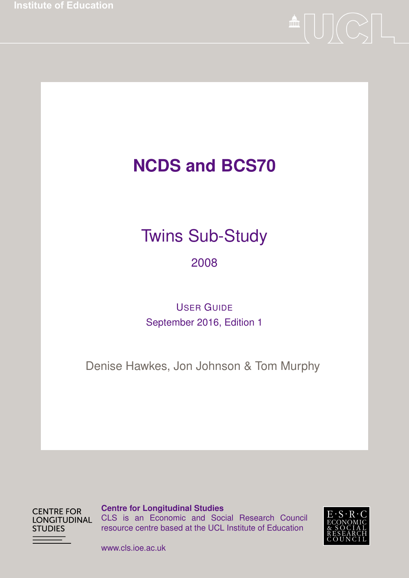**Institute of Education** 



# **NCDS and BCS70**

# Twins Sub-Study

#### 2008

#### USER GUIDE September 2016, Edition 1

Denise Hawkes, Jon Johnson & Tom Murphy

**CENTRE FOR LONGITUDINAL STUDIES** 

**Centre for Longitudinal Studies** CLS is an Economic and Social Research Council resource centre based at the UCL Institute of Education



www.cls.ioe.ac.uk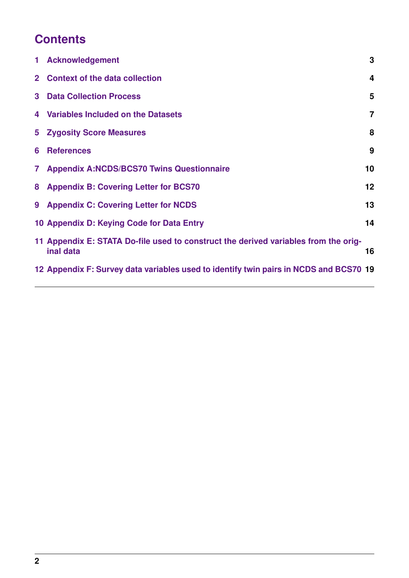# **Contents**

| $\mathbf 1$  | <b>Acknowledgement</b>                                                                           | 3              |
|--------------|--------------------------------------------------------------------------------------------------|----------------|
|              | 2 Context of the data collection                                                                 | 4              |
| 3            | <b>Data Collection Process</b>                                                                   | 5              |
|              | 4 Variables Included on the Datasets                                                             | $\overline{7}$ |
|              | <b>5 Zygosity Score Measures</b>                                                                 | 8              |
| 6            | <b>References</b>                                                                                | 9              |
| $\mathbf{7}$ | <b>Appendix A:NCDS/BCS70 Twins Questionnaire</b>                                                 | 10             |
| 8            | <b>Appendix B: Covering Letter for BCS70</b>                                                     | 12             |
| 9            | <b>Appendix C: Covering Letter for NCDS</b>                                                      | 13             |
|              | 10 Appendix D: Keying Code for Data Entry                                                        | 14             |
|              | 11 Appendix E: STATA Do-file used to construct the derived variables from the orig-<br>inal data | 16             |
|              | 12 Appendix F: Survey data variables used to identify twin pairs in NCDS and BCS70 19            |                |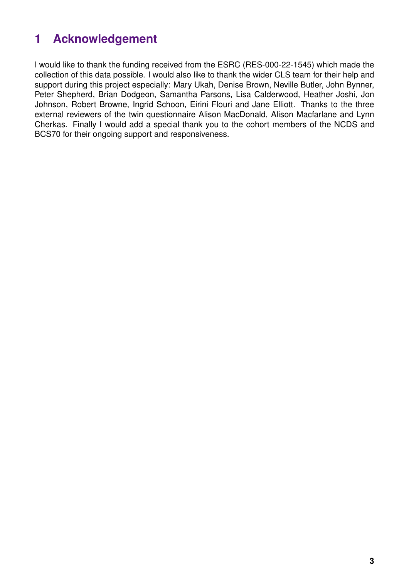# <span id="page-2-0"></span>**1 Acknowledgement**

I would like to thank the funding received from the ESRC (RES-000-22-1545) which made the collection of this data possible. I would also like to thank the wider CLS team for their help and support during this project especially: Mary Ukah, Denise Brown, Neville Butler, John Bynner, Peter Shepherd, Brian Dodgeon, Samantha Parsons, Lisa Calderwood, Heather Joshi, Jon Johnson, Robert Browne, Ingrid Schoon, Eirini Flouri and Jane Elliott. Thanks to the three external reviewers of the twin questionnaire Alison MacDonald, Alison Macfarlane and Lynn Cherkas. Finally I would add a special thank you to the cohort members of the NCDS and BCS70 for their ongoing support and responsiveness.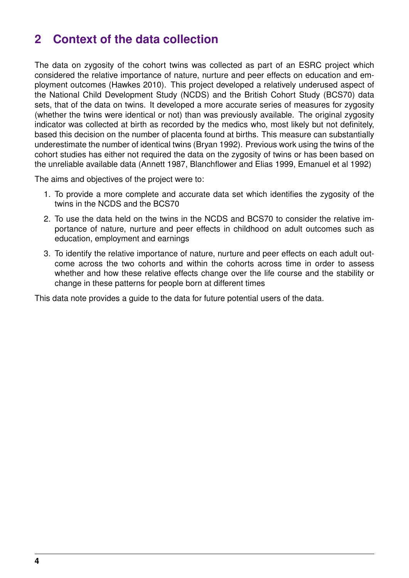### <span id="page-3-0"></span>**2 Context of the data collection**

The data on zygosity of the cohort twins was collected as part of an ESRC project which considered the relative importance of nature, nurture and peer effects on education and employment outcomes (Hawkes 2010). This project developed a relatively underused aspect of the National Child Development Study (NCDS) and the British Cohort Study (BCS70) data sets, that of the data on twins. It developed a more accurate series of measures for zygosity (whether the twins were identical or not) than was previously available. The original zygosity indicator was collected at birth as recorded by the medics who, most likely but not definitely, based this decision on the number of placenta found at births. This measure can substantially underestimate the number of identical twins (Bryan 1992). Previous work using the twins of the cohort studies has either not required the data on the zygosity of twins or has been based on the unreliable available data (Annett 1987, Blanchflower and Elias 1999, Emanuel et al 1992)

The aims and objectives of the project were to:

- 1. To provide a more complete and accurate data set which identifies the zygosity of the twins in the NCDS and the BCS70
- 2. To use the data held on the twins in the NCDS and BCS70 to consider the relative importance of nature, nurture and peer effects in childhood on adult outcomes such as education, employment and earnings
- 3. To identify the relative importance of nature, nurture and peer effects on each adult outcome across the two cohorts and within the cohorts across time in order to assess whether and how these relative effects change over the life course and the stability or change in these patterns for people born at different times

This data note provides a guide to the data for future potential users of the data.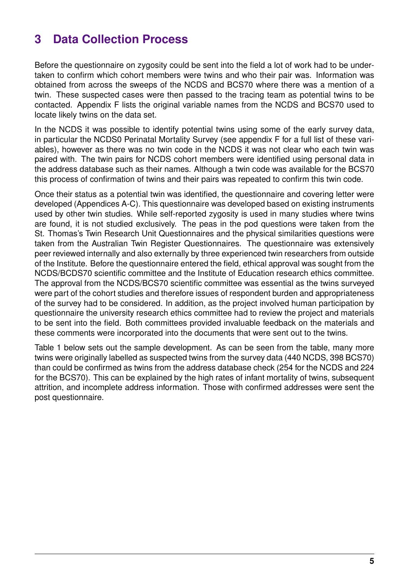# <span id="page-4-0"></span>**3 Data Collection Process**

Before the questionnaire on zygosity could be sent into the field a lot of work had to be undertaken to confirm which cohort members were twins and who their pair was. Information was obtained from across the sweeps of the NCDS and BCS70 where there was a mention of a twin. These suspected cases were then passed to the tracing team as potential twins to be contacted. Appendix F lists the original variable names from the NCDS and BCS70 used to locate likely twins on the data set.

In the NCDS it was possible to identify potential twins using some of the early survey data, in particular the NCDS0 Perinatal Mortality Survey (see appendix F for a full list of these variables), however as there was no twin code in the NCDS it was not clear who each twin was paired with. The twin pairs for NCDS cohort members were identified using personal data in the address database such as their names. Although a twin code was available for the BCS70 this process of confirmation of twins and their pairs was repeated to confirm this twin code.

Once their status as a potential twin was identified, the questionnaire and covering letter were developed (Appendices A-C). This questionnaire was developed based on existing instruments used by other twin studies. While self-reported zygosity is used in many studies where twins are found, it is not studied exclusively. The peas in the pod questions were taken from the St. Thomas's Twin Research Unit Questionnaires and the physical similarities questions were taken from the Australian Twin Register Questionnaires. The questionnaire was extensively peer reviewed internally and also externally by three experienced twin researchers from outside of the Institute. Before the questionnaire entered the field, ethical approval was sought from the NCDS/BCDS70 scientific committee and the Institute of Education research ethics committee. The approval from the NCDS/BCS70 scientific committee was essential as the twins surveyed were part of the cohort studies and therefore issues of respondent burden and appropriateness of the survey had to be considered. In addition, as the project involved human participation by questionnaire the university research ethics committee had to review the project and materials to be sent into the field. Both committees provided invaluable feedback on the materials and these comments were incorporated into the documents that were sent out to the twins.

Table 1 below sets out the sample development. As can be seen from the table, many more twins were originally labelled as suspected twins from the survey data (440 NCDS, 398 BCS70) than could be confirmed as twins from the address database check (254 for the NCDS and 224 for the BCS70). This can be explained by the high rates of infant mortality of twins, subsequent attrition, and incomplete address information. Those with confirmed addresses were sent the post questionnaire.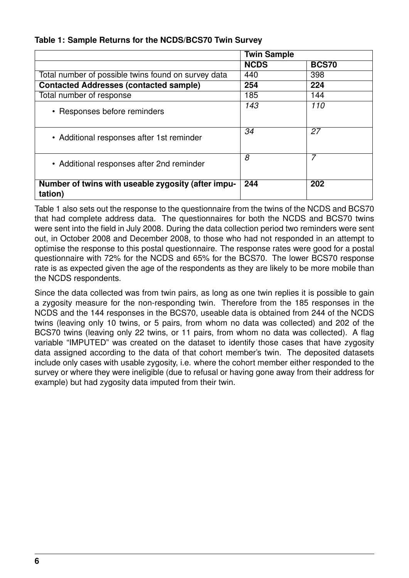**Table 1: Sample Returns for the NCDS/BCS70 Twin Survey**

|                                                               | <b>Twin Sample</b> |              |
|---------------------------------------------------------------|--------------------|--------------|
|                                                               | <b>NCDS</b>        | <b>BCS70</b> |
| Total number of possible twins found on survey data           | 440                | 398          |
| <b>Contacted Addresses (contacted sample)</b>                 | 254                | 224          |
| Total number of response                                      | 185                | 144          |
| • Responses before reminders                                  | 143                | 110          |
| • Additional responses after 1st reminder                     | 34                 | 27           |
| • Additional responses after 2nd reminder                     | 8                  | 7            |
| Number of twins with useable zygosity (after impu-<br>tation) | 244                | 202          |

Table 1 also sets out the response to the questionnaire from the twins of the NCDS and BCS70 that had complete address data. The questionnaires for both the NCDS and BCS70 twins were sent into the field in July 2008. During the data collection period two reminders were sent out, in October 2008 and December 2008, to those who had not responded in an attempt to optimise the response to this postal questionnaire. The response rates were good for a postal questionnaire with 72% for the NCDS and 65% for the BCS70. The lower BCS70 response rate is as expected given the age of the respondents as they are likely to be more mobile than the NCDS respondents.

Since the data collected was from twin pairs, as long as one twin replies it is possible to gain a zygosity measure for the non-responding twin. Therefore from the 185 responses in the NCDS and the 144 responses in the BCS70, useable data is obtained from 244 of the NCDS twins (leaving only 10 twins, or 5 pairs, from whom no data was collected) and 202 of the BCS70 twins (leaving only 22 twins, or 11 pairs, from whom no data was collected). A flag variable "IMPUTED" was created on the dataset to identify those cases that have zygosity data assigned according to the data of that cohort member's twin. The deposited datasets include only cases with usable zygosity, i.e. where the cohort member either responded to the survey or where they were ineligible (due to refusal or having gone away from their address for example) but had zygosity data imputed from their twin.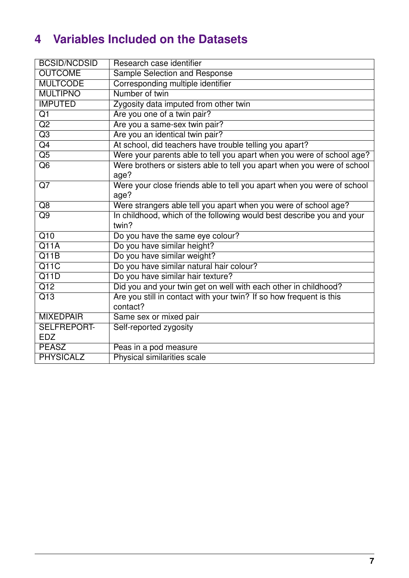# <span id="page-6-0"></span>**4 Variables Included on the Datasets**

| <b>BCSID/NCDSID</b> | Research case identifier                                                |
|---------------------|-------------------------------------------------------------------------|
| <b>OUTCOME</b>      | <b>Sample Selection and Response</b>                                    |
| <b>MULTCODE</b>     | Corresponding multiple identifier                                       |
| <b>MULTIPNO</b>     | Number of twin                                                          |
| <b>IMPUTED</b>      | Zygosity data imputed from other twin                                   |
| $\overline{Q1}$     | Are you one of a twin pair?                                             |
| $\overline{Q2}$     | Are you a same-sex twin pair?                                           |
| $\overline{Q3}$     | Are you an identical twin pair?                                         |
| $\overline{Q4}$     | At school, did teachers have trouble telling you apart?                 |
| $\overline{Q5}$     | Were your parents able to tell you apart when you were of school age?   |
| $\overline{Q6}$     | Were brothers or sisters able to tell you apart when you were of school |
|                     | age?                                                                    |
| $\overline{Q7}$     | Were your close friends able to tell you apart when you were of school  |
|                     | age?                                                                    |
| $\overline{Q8}$     | Were strangers able tell you apart when you were of school age?         |
| $\overline{Q9}$     | In childhood, which of the following would best describe you and your   |
|                     | twin?                                                                   |
| $\overline{Q10}$    | Do you have the same eye colour?                                        |
| Q11A                | Do you have similar height?                                             |
| $\overline{Q11B}$   | Do you have similar weight?                                             |
| $\overline{Q11C}$   | Do you have similar natural hair colour?                                |
| Q11D                | Do you have similar hair texture?                                       |
| $\overline{Q12}$    | Did you and your twin get on well with each other in childhood?         |
| $\overline{Q13}$    | Are you still in contact with your twin? If so how frequent is this     |
|                     | contact?                                                                |
| <b>MIXEDPAIR</b>    | Same sex or mixed pair                                                  |
| <b>SELFREPORT-</b>  | Self-reported zygosity                                                  |
| <b>EDZ</b>          |                                                                         |
| <b>PEASZ</b>        | Peas in a pod measure                                                   |
| <b>PHYSICALZ</b>    | Physical similarities scale                                             |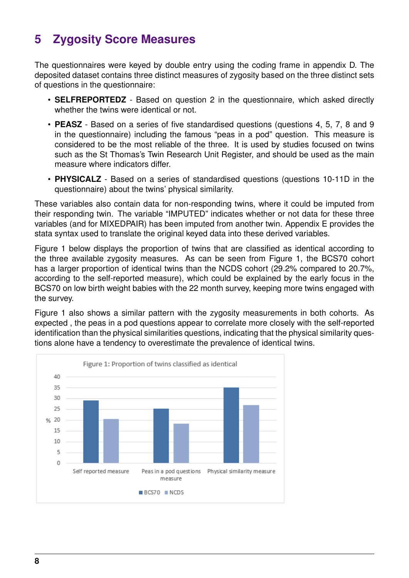# <span id="page-7-0"></span>**5 Zygosity Score Measures**

The questionnaires were keyed by double entry using the coding frame in appendix D. The deposited dataset contains three distinct measures of zygosity based on the three distinct sets of questions in the questionnaire:

- **SELFREPORTEDZ** Based on question 2 in the questionnaire, which asked directly whether the twins were identical or not.
- **PEASZ** Based on a series of five standardised questions (questions 4, 5, 7, 8 and 9 in the questionnaire) including the famous "peas in a pod" question. This measure is considered to be the most reliable of the three. It is used by studies focused on twins such as the St Thomas's Twin Research Unit Register, and should be used as the main measure where indicators differ.
- **PHYSICALZ** Based on a series of standardised questions (questions 10-11D in the questionnaire) about the twins' physical similarity.

These variables also contain data for non-responding twins, where it could be imputed from their responding twin. The variable "IMPUTED" indicates whether or not data for these three variables (and for MIXEDPAIR) has been imputed from another twin. Appendix E provides the stata syntax used to translate the original keyed data into these derived variables.

Figure 1 below displays the proportion of twins that are classified as identical according to the three available zygosity measures. As can be seen from Figure 1, the BCS70 cohort has a larger proportion of identical twins than the NCDS cohort (29.2% compared to 20.7%, according to the self-reported measure), which could be explained by the early focus in the BCS70 on low birth weight babies with the 22 month survey, keeping more twins engaged with the survey.

Figure 1 also shows a similar pattern with the zygosity measurements in both cohorts. As expected , the peas in a pod questions appear to correlate more closely with the self-reported identification than the physical similarities questions, indicating that the physical similarity questions alone have a tendency to overestimate the prevalence of identical twins.

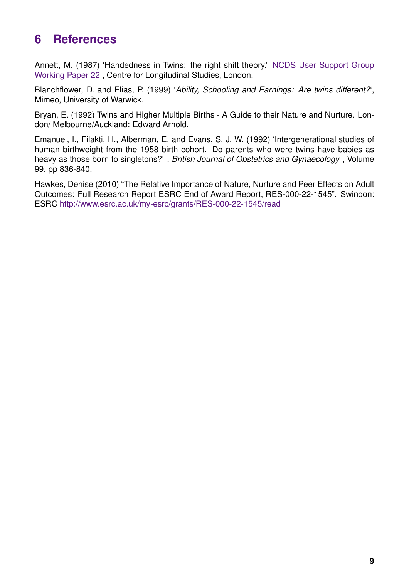### <span id="page-8-0"></span>**6 References**

Annett, M. (1987) 'Handedness in Twins: the right shift theory.' [NCDS User Support Group](ftp://cls.ioe.ac.uk/pub/Ncds/Acrobat/WorkingPaper/wp22.pdf) [Working Paper 22](ftp://cls.ioe.ac.uk/pub/Ncds/Acrobat/WorkingPaper/wp22.pdf) , Centre for Longitudinal Studies, London.

Blanchflower, D. and Elias, P. (1999) '*Ability, Schooling and Earnings: Are twins different?*', Mimeo, University of Warwick.

Bryan, E. (1992) Twins and Higher Multiple Births - A Guide to their Nature and Nurture. London/ Melbourne/Auckland: Edward Arnold.

Emanuel, I., Filakti, H., Alberman, E. and Evans, S. J. W. (1992) 'Intergenerational studies of human birthweight from the 1958 birth cohort. Do parents who were twins have babies as heavy as those born to singletons?' *, British Journal of Obstetrics and Gynaecology* , Volume 99, pp 836-840.

Hawkes, Denise (2010) "The Relative Importance of Nature, Nurture and Peer Effects on Adult Outcomes: Full Research Report ESRC End of Award Report, RES-000-22-1545". Swindon: ESRC <http://www.esrc.ac.uk/my-esrc/grants/RES-000-22-1545/read>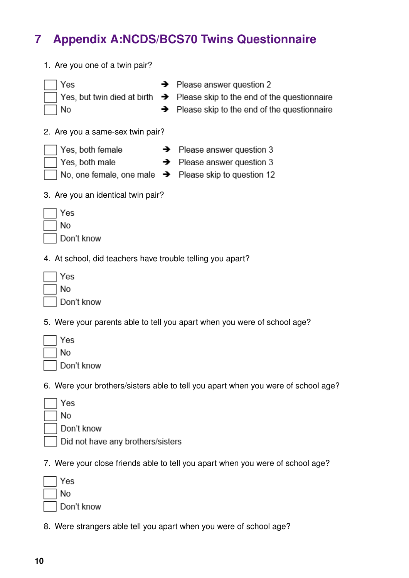# <span id="page-9-0"></span>**7 Appendix A:NCDS/BCS70 Twins Questionnaire**

- 1. Are you one of a twin pair?  $\rightarrow$  Please answer question 2 Yes Yes, but twin died at birth  $\rightarrow$  Please skip to the end of the questionnaire **No**  $\rightarrow$  Please skip to the end of the questionnaire 2. Are you a same-sex twin pair? Yes, both female  $\rightarrow$  Please answer question 3 Yes, both male  $\rightarrow$  Please answer question 3 No, one female, one male  $\rightarrow$  Please skip to question 12 3. Are you an identical twin pair? Yes **No** Don't know 4. At school, did teachers have trouble telling you apart? Yes **No** Don't know 5. Were your parents able to tell you apart when you were of school age? Yes **No** Don't know 6. Were your brothers/sisters able to tell you apart when you were of school age? Yes No Don't know Did not have any brothers/sisters 7. Were your close friends able to tell you apart when you were of school age?
- Yes **No** Don't know
- 8. Were strangers able tell you apart when you were of school age?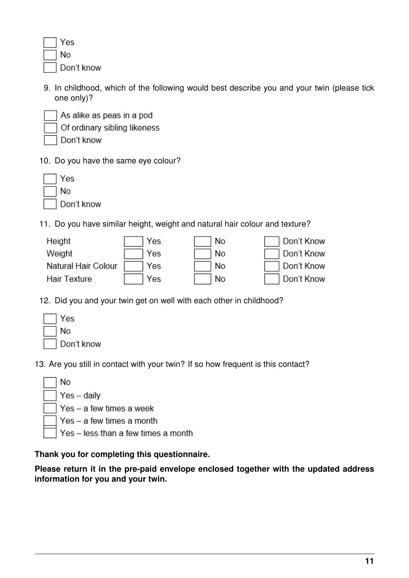| es    |
|-------|
| ٩o    |
| )on't |

9. In childhood, which of the following would best describe you and your twin (please tick one only)?



As alike as peas in a pod Of ordinary sibling likeness

Don't know

know

10. Do you have the same eye colour?

| Yes        |
|------------|
| No         |
| Don't know |

11. Do you have similar height, weight and natural hair colour and texture?

| Height              | Yes | No. | Don't Know |
|---------------------|-----|-----|------------|
| Weight              | Yes | No. | Don't Know |
| Natural Hair Colour | Yes | No. | Don't Know |
| <b>Hair Texture</b> | Yes | No. | Don't Know |

12. Did you and your twin get on well with each other in childhood?

| √es        |
|------------|
| No         |
| Don't know |

13. Are you still in contact with your twin? If so how frequent is this contact?

| ∣ ∣No |                                           |
|-------|-------------------------------------------|
|       | $\sqrt{\text{Yes} - \text{daily}}$        |
|       | $\Box$ Yes – a few times a week           |
|       | $\vert$ $\vert$ Yes – a few times a month |
|       | Yes - less than a few times a month       |
|       |                                           |

#### **Thank you for completing this questionnaire.**

**Please return it in the pre-paid envelope enclosed together with the updated address information for you and your twin.**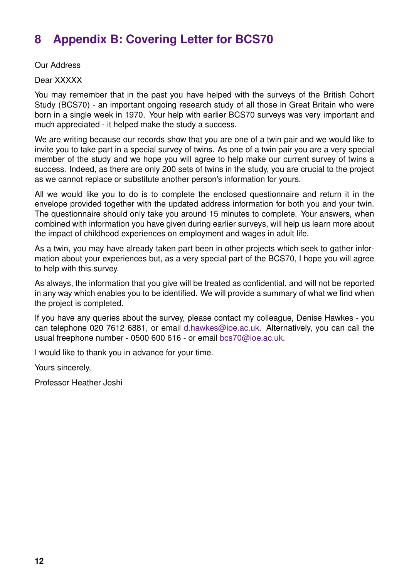# <span id="page-11-0"></span>**8 Appendix B: Covering Letter for BCS70**

Our Address

Dear XXXXX

You may remember that in the past you have helped with the surveys of the British Cohort Study (BCS70) - an important ongoing research study of all those in Great Britain who were born in a single week in 1970. Your help with earlier BCS70 surveys was very important and much appreciated - it helped make the study a success.

We are writing because our records show that you are one of a twin pair and we would like to invite you to take part in a special survey of twins. As one of a twin pair you are a very special member of the study and we hope you will agree to help make our current survey of twins a success. Indeed, as there are only 200 sets of twins in the study, you are crucial to the project as we cannot replace or substitute another person's information for yours.

All we would like you to do is to complete the enclosed questionnaire and return it in the envelope provided together with the updated address information for both you and your twin. The questionnaire should only take you around 15 minutes to complete. Your answers, when combined with information you have given during earlier surveys, will help us learn more about the impact of childhood experiences on employment and wages in adult life.

As a twin, you may have already taken part been in other projects which seek to gather information about your experiences but, as a very special part of the BCS70, I hope you will agree to help with this survey.

As always, the information that you give will be treated as confidential, and will not be reported in any way which enables you to be identified. We will provide a summary of what we find when the project is completed.

If you have any queries about the survey, please contact my colleague, Denise Hawkes - you can telephone 020 7612 6881, or email [d.hawkes@ioe.ac.uk.](mailto:d.hawkes@ioe.ac.uk) Alternatively, you can call the usual freephone number - 0500 600 616 - or email [bcs70@ioe.ac.uk.](mailto:bcs70@ioe.ac.uk)

I would like to thank you in advance for your time.

Yours sincerely,

Professor Heather Joshi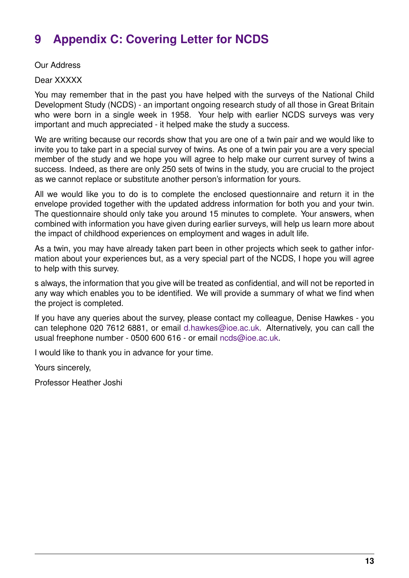# <span id="page-12-0"></span>**9 Appendix C: Covering Letter for NCDS**

Our Address

Dear XXXXX

You may remember that in the past you have helped with the surveys of the National Child Development Study (NCDS) - an important ongoing research study of all those in Great Britain who were born in a single week in 1958. Your help with earlier NCDS surveys was very important and much appreciated - it helped make the study a success.

We are writing because our records show that you are one of a twin pair and we would like to invite you to take part in a special survey of twins. As one of a twin pair you are a very special member of the study and we hope you will agree to help make our current survey of twins a success. Indeed, as there are only 250 sets of twins in the study, you are crucial to the project as we cannot replace or substitute another person's information for yours.

All we would like you to do is to complete the enclosed questionnaire and return it in the envelope provided together with the updated address information for both you and your twin. The questionnaire should only take you around 15 minutes to complete. Your answers, when combined with information you have given during earlier surveys, will help us learn more about the impact of childhood experiences on employment and wages in adult life.

As a twin, you may have already taken part been in other projects which seek to gather information about your experiences but, as a very special part of the NCDS, I hope you will agree to help with this survey.

s always, the information that you give will be treated as confidential, and will not be reported in any way which enables you to be identified. We will provide a summary of what we find when the project is completed.

If you have any queries about the survey, please contact my colleague, Denise Hawkes - you can telephone 020 7612 6881, or email [d.hawkes@ioe.ac.uk.](mailto:d.hawkes@ioe.ac.uk) Alternatively, you can call the usual freephone number - 0500 600 616 - or email [ncds@ioe.ac.uk.](mailto:ncds@ioe.ac.uk)

I would like to thank you in advance for your time.

Yours sincerely,

Professor Heather Joshi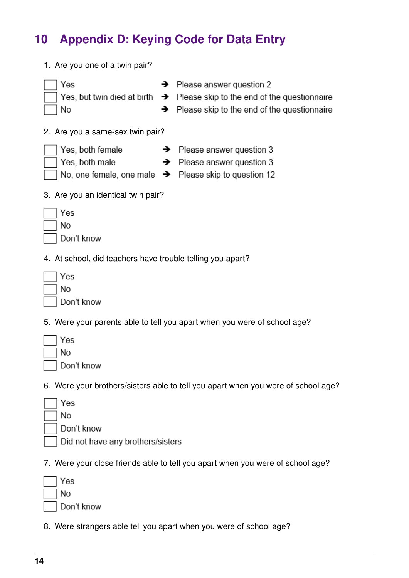# <span id="page-13-0"></span>**10 Appendix D: Keying Code for Data Entry**

- 1. Are you one of a twin pair?  $\rightarrow$  Please answer question 2 Yes Yes, but twin died at birth  $\rightarrow$  Please skip to the end of the questionnaire **No**  $\rightarrow$  Please skip to the end of the questionnaire 2. Are you a same-sex twin pair? Yes, both female  $\rightarrow$  Please answer question 3 Yes, both male  $\rightarrow$  Please answer question 3 No, one female, one male  $\rightarrow$  Please skip to question 12 3. Are you an identical twin pair? Yes **No** Don't know 4. At school, did teachers have trouble telling you apart? Yes **No** Don't know 5. Were your parents able to tell you apart when you were of school age? Yes **No** Don't know 6. Were your brothers/sisters able to tell you apart when you were of school age? Yes No Don't know Did not have any brothers/sisters 7. Were your close friends able to tell you apart when you were of school age? Yes **No** 
	- Don't know
- 8. Were strangers able tell you apart when you were of school age?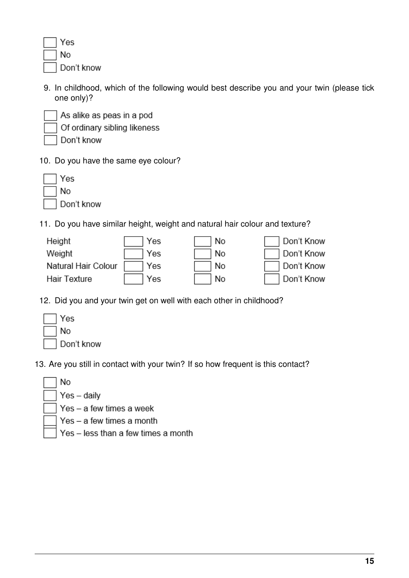| es    |
|-------|
| ٩o    |
| )on't |

9. In childhood, which of the following would best describe you and your twin (please tick one only)?



As alike as peas in a pod Of ordinary sibling likeness

Don't know

know

10. Do you have the same eye colour?

| Yes        |
|------------|
| No         |
| Don't know |

11. Do you have similar height, weight and natural hair colour and texture?

| Height              | Yes | No. | Don't Know |
|---------------------|-----|-----|------------|
| Weight              | Yes | N0  | Don't Know |
| Natural Hair Colour | Yes | No. | Don't Know |
| <b>Hair Texture</b> | Yes | No  | Don't Know |

12. Did you and your twin get on well with each other in childhood?

| √es        |
|------------|
| No         |
| Don't know |

13. Are you still in contact with your twin? If so how frequent is this contact?

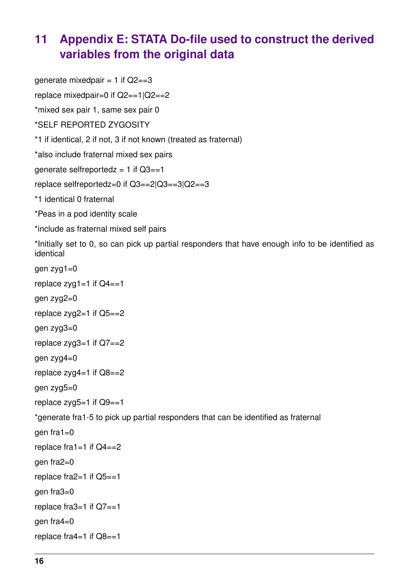### <span id="page-15-0"></span>**11 Appendix E: STATA Do-file used to construct the derived variables from the original data**

qenerate mixedpair =  $1$  if  $Q2 == 3$ replace mixedpair=0 if Q2==1|Q2==2 \*mixed sex pair 1, same sex pair 0 \*SELF REPORTED ZYGOSITY \*1 if identical, 2 if not, 3 if not known (treated as fraternal) \*also include fraternal mixed sex pairs generate selfreportedz =  $1$  if  $Q3 == 1$ replace selfreportedz=0 if Q3==2|Q3==3|Q2==3 \*1 identical 0 fraternal \*Peas in a pod identity scale \*include as fraternal mixed self pairs \*Initially set to 0, so can pick up partial responders that have enough info to be identified as identical gen zyg1=0 replace  $zyq1=1$  if  $Q4==1$ gen zyg2=0 replace  $zyg2=1$  if  $Q5==2$ gen zyg3=0 replace  $zyg3=1$  if  $Q7==2$ gen zyg4=0 replace  $zyg4=1$  if  $Q8==2$ gen zyg5=0 replace  $zyg5=1$  if  $Q9==1$ \*generate fra1-5 to pick up partial responders that can be identified as fraternal  $gen fra 1=0$ replace fra1=1 if  $Q4 == 2$ gen fra2=0 replace fra $2=1$  if  $Q5==1$ gen fra3=0 replace fra $3=1$  if  $Q7==1$ gen fra4=0 replace fra4=1 if Q8==1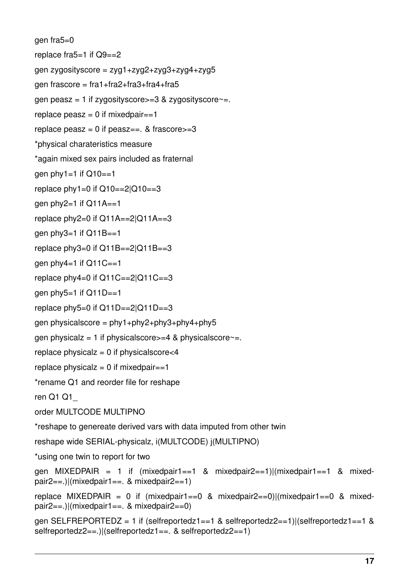gen fra5=0 replace fra5=1 if Q9==2 gen zygosityscore = zyg1+zyg2+zyg3+zyg4+zyg5 gen frascore = fra1+fra2+fra3+fra4+fra5 gen peasz = 1 if zygosityscore $>=$ 3 & zygosityscore $\sim$ =. replace  $peasz = 0$  if mixedpair==1 replace peasz =  $0$  if peasz==. & frascore $>=$ 3 \*physical charateristics measure \*again mixed sex pairs included as fraternal gen  $phy1 = 1$  if  $Q10 == 1$ replace  $phy1=0$  if  $Q10==2|Q10==3$ gen  $phy2=1$  if  $Q11A==1$ replace  $phy2=0$  if  $Q11A=-2|Q11A=-3$ gen  $phy3=1$  if  $Q11B==1$ replace  $phy3=0$  if  $Q11B=-2|Q11B=-3$ gen  $phy4=1$  if  $Q11C==1$ replace  $phy4=0$  if  $Q11C=-2|Q11C=-3$ gen  $phy5=1$  if  $Q11D==1$ replace  $phy5=0$  if  $Q11D==2|Q11D==3$ gen physicalscore =  $phy1+phy2+phy3+phy4+phy5$ gen physicalz = 1 if physicalscore $>=$  4 & physicalscore $=$ . replace physicalz =  $0$  if physicalscore $<$ 4 replace physical $z = 0$  if mixedpair==1 \*rename Q1 and reorder file for reshape ren Q1 Q1\_ order MULTCODE MULTIPNO \*reshape to genereate derived vars with data imputed from other twin reshape wide SERIAL-physicalz, i(MULTCODE) j(MULTIPNO) \*using one twin to report for two gen MIXEDPAIR = 1 if  $(mixed pair1 == 1 \& mixed pair2 == 1)$ | $(mixed pair1 == 1 \& mixed-1)$ pair2==.)|(mixedpair1==. & mixedpair2==1) replace MIXEDPAIR = 0 if (mixedpair1==0 & mixedpair2==0)|(mixedpair1==0 & mixedpair2==.)|(mixedpair1==. & mixedpair2==0) gen SELFREPORTEDZ = 1 if (selfreportedz1==1 & selfreportedz2==1)|(selfreportedz1==1 & selfreportedz2==.)|(selfreportedz1==. & selfreportedz2==1)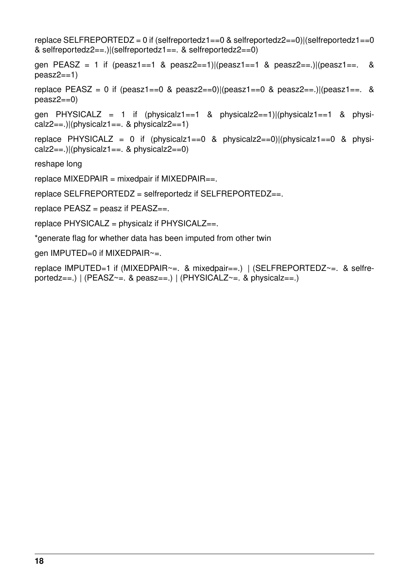replace SELFREPORTEDZ = 0 if (selfreportedz1==0 & selfreportedz2==0)|(selfreportedz1==0 & selfreportedz2==.)|(selfreportedz1==. & selfreportedz2==0) gen PEASZ = 1 if (peasz1==1 & peasz2==1)|(peasz1==1 & peasz2==.)|(peasz1==. &  $peasz2==1)$ replace PEASZ = 0 if (peasz1==0 & peasz2==0)|(peasz1==0 & peasz2==.)|(peasz1==. &  $peasz2==0)$ gen PHYSICALZ = 1 if (physicalz1==1 & physicalz2==1)|(physicalz1==1 & physicalz2==.)|(physicalz1==. & physicalz2==1) replace PHYSICALZ = 0 if (physicalz1==0 & physicalz2==0)|(physicalz1==0 & physicalz2==.)|(physicalz1==. & physicalz2==0) reshape long replace  $MIXEDPAIR = mixedpair$  if  $MIXEDPAIR ==$ . replace SELFREPORTEDZ = selfreportedz if SELFREPORTEDZ==. replace  $PEASZ = p$ easz if  $PEASZ ==$ . replace  $PHYSICALZ = physicalz$  if  $PHYSICALZ ==$ . \*generate flag for whether data has been imputed from other twin gen IMPUTED=0 if MIXEDPAIR~=.

replace IMPUTED=1 if (MIXEDPAIR~=. & mixedpair==.) | (SELFREPORTEDZ~=. & selfreportedz==.)  $|$  (PEASZ ~= . & peasz ==.)  $|$  (PHYSICALZ ~= . & physicalz ==.)